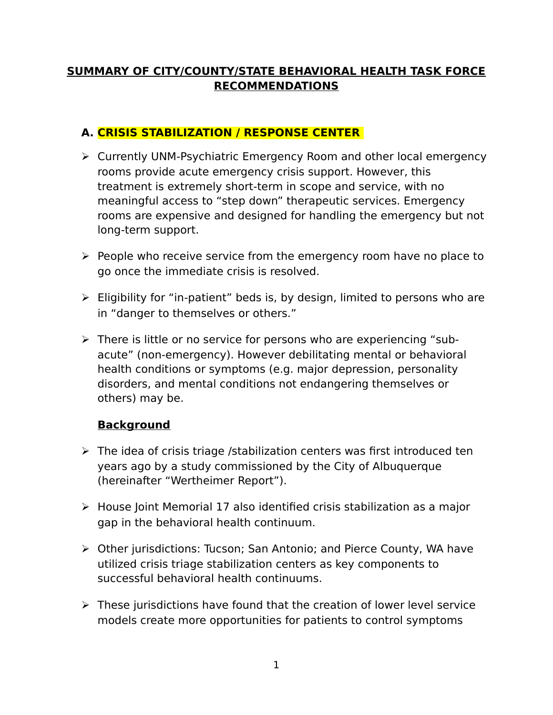## **SUMMARY OF CITY/COUNTY/STATE BEHAVIORAL HEALTH TASK FORCE RECOMMENDATIONS**

# **A. CRISIS STABILIZATION / RESPONSE CENTER**

- Currently UNM-Psychiatric Emergency Room and other local emergency rooms provide acute emergency crisis support. However, this treatment is extremely short-term in scope and service, with no meaningful access to "step down" therapeutic services. Emergency rooms are expensive and designed for handling the emergency but not long-term support.
- $\triangleright$  People who receive service from the emergency room have no place to go once the immediate crisis is resolved.
- Eligibility for "in-patient" beds is, by design, limited to persons who are in "danger to themselves or others."
- $\triangleright$  There is little or no service for persons who are experiencing "subacute" (non-emergency). However debilitating mental or behavioral health conditions or symptoms (e.g. major depression, personality disorders, and mental conditions not endangering themselves or others) may be.

#### **Background**

- $\triangleright$  The idea of crisis triage /stabilization centers was first introduced ten years ago by a study commissioned by the City of Albuquerque (hereinafter "Wertheimer Report").
- $\triangleright$  House Joint Memorial 17 also identified crisis stabilization as a major gap in the behavioral health continuum.
- Other jurisdictions: Tucson; San Antonio; and Pierce County, WA have utilized crisis triage stabilization centers as key components to successful behavioral health continuums.
- $\triangleright$  These jurisdictions have found that the creation of lower level service models create more opportunities for patients to control symptoms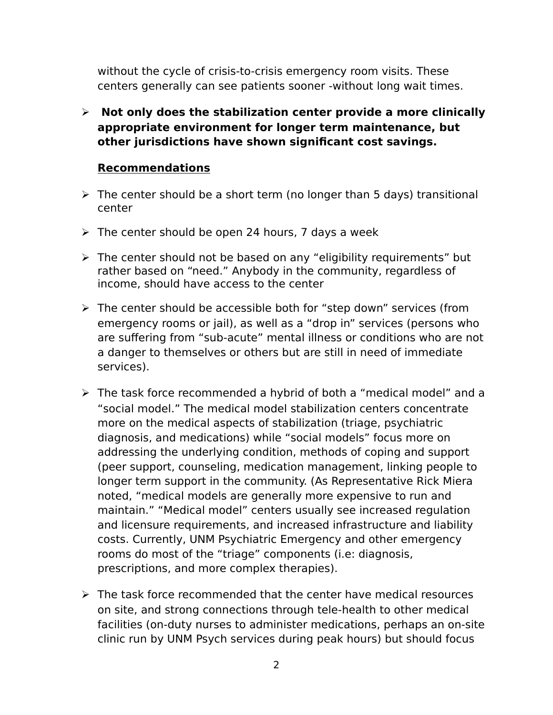without the cycle of crisis-to-crisis emergency room visits. These centers generally can see patients sooner -without long wait times.

 **Not only does the stabilization center provide a more clinically appropriate environment for longer term maintenance, but other jurisdictions have shown significant cost savings.** 

## **Recommendations**

- $\triangleright$  The center should be a short term (no longer than 5 days) transitional center
- $\triangleright$  The center should be open 24 hours, 7 days a week
- $\triangleright$  The center should not be based on any "eligibility requirements" but rather based on "need." Anybody in the community, regardless of income, should have access to the center
- $\triangleright$  The center should be accessible both for "step down" services (from emergency rooms or jail), as well as a "drop in" services (persons who are suffering from "sub-acute" mental illness or conditions who are not a danger to themselves or others but are still in need of immediate services).
- The task force recommended a hybrid of both a "medical model" and a "social model." The medical model stabilization centers concentrate more on the medical aspects of stabilization (triage, psychiatric diagnosis, and medications) while "social models" focus more on addressing the underlying condition, methods of coping and support (peer support, counseling, medication management, linking people to longer term support in the community. (As Representative Rick Miera noted, "medical models are generally more expensive to run and maintain." "Medical model" centers usually see increased regulation and licensure requirements, and increased infrastructure and liability costs. Currently, UNM Psychiatric Emergency and other emergency rooms do most of the "triage" components (i.e: diagnosis, prescriptions, and more complex therapies).
- $\triangleright$  The task force recommended that the center have medical resources on site, and strong connections through tele-health to other medical facilities (on-duty nurses to administer medications, perhaps an on-site clinic run by UNM Psych services during peak hours) but should focus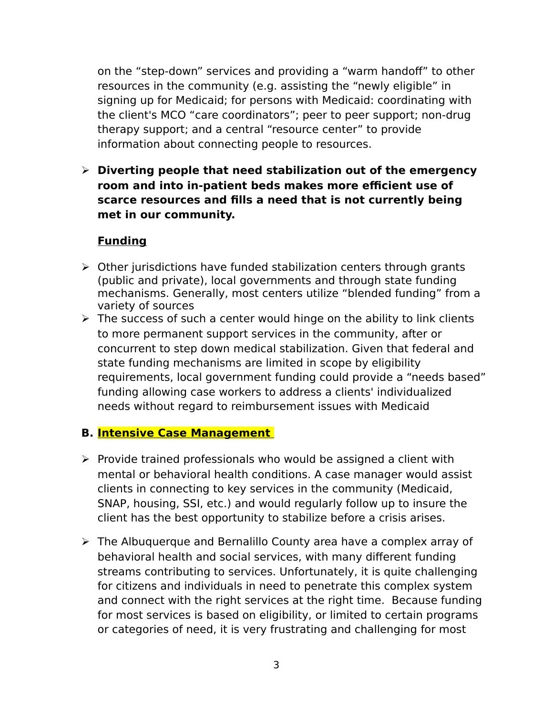on the "step-down" services and providing a "warm handoff" to other resources in the community (e.g. assisting the "newly eligible" in signing up for Medicaid; for persons with Medicaid: coordinating with the client's MCO "care coordinators"; peer to peer support; non-drug therapy support; and a central "resource center" to provide information about connecting people to resources.

 **Diverting people that need stabilization out of the emergency room and into in-patient beds makes more efficient use of scarce resources and fills a need that is not currently being met in our community.** 

#### **Funding**

- $\triangleright$  Other jurisdictions have funded stabilization centers through grants (public and private), local governments and through state funding mechanisms. Generally, most centers utilize "blended funding" from a variety of sources
- $\triangleright$  The success of such a center would hinge on the ability to link clients to more permanent support services in the community, after or concurrent to step down medical stabilization. Given that federal and state funding mechanisms are limited in scope by eligibility requirements, local government funding could provide a "needs based" funding allowing case workers to address a clients' individualized needs without regard to reimbursement issues with Medicaid

#### **B. Intensive Case Management**

- $\triangleright$  Provide trained professionals who would be assigned a client with mental or behavioral health conditions. A case manager would assist clients in connecting to key services in the community (Medicaid, SNAP, housing, SSI, etc.) and would regularly follow up to insure the client has the best opportunity to stabilize before a crisis arises.
- $\triangleright$  The Albuquerque and Bernalillo County area have a complex array of behavioral health and social services, with many different funding streams contributing to services. Unfortunately, it is quite challenging for citizens and individuals in need to penetrate this complex system and connect with the right services at the right time. Because funding for most services is based on eligibility, or limited to certain programs or categories of need, it is very frustrating and challenging for most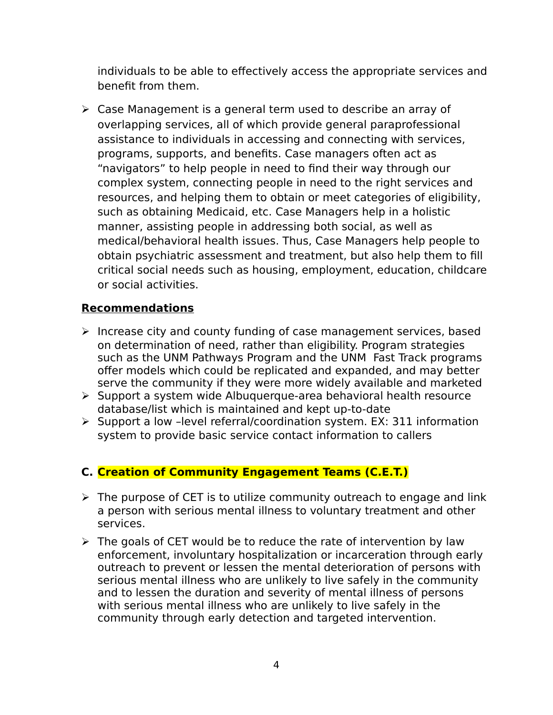individuals to be able to effectively access the appropriate services and benefit from them.

 $\triangleright$  Case Management is a general term used to describe an array of overlapping services, all of which provide general paraprofessional assistance to individuals in accessing and connecting with services, programs, supports, and benefits. Case managers often act as "navigators" to help people in need to find their way through our complex system, connecting people in need to the right services and resources, and helping them to obtain or meet categories of eligibility, such as obtaining Medicaid, etc. Case Managers help in a holistic manner, assisting people in addressing both social, as well as medical/behavioral health issues. Thus, Case Managers help people to obtain psychiatric assessment and treatment, but also help them to fill critical social needs such as housing, employment, education, childcare or social activities.

#### **Recommendations**

- $\triangleright$  Increase city and county funding of case management services, based on determination of need, rather than eligibility. Program strategies such as the UNM Pathways Program and the UNM Fast Track programs offer models which could be replicated and expanded, and may better serve the community if they were more widely available and marketed
- $\triangleright$  Support a system wide Albuquerque-area behavioral health resource database/list which is maintained and kept up-to-date
- $\triangleright$  Support a low -level referral/coordination system. EX: 311 information system to provide basic service contact information to callers

# **C. Creation of Community Engagement Teams (C.E.T.)**

- $\triangleright$  The purpose of CET is to utilize community outreach to engage and link a person with serious mental illness to voluntary treatment and other services.
- $\triangleright$  The goals of CET would be to reduce the rate of intervention by law enforcement, involuntary hospitalization or incarceration through early outreach to prevent or lessen the mental deterioration of persons with serious mental illness who are unlikely to live safely in the community and to lessen the duration and severity of mental illness of persons with serious mental illness who are unlikely to live safely in the community through early detection and targeted intervention.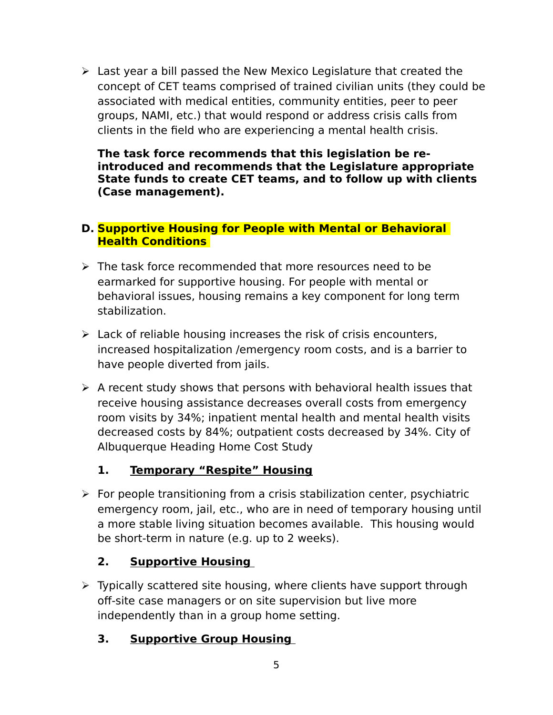$\triangleright$  Last year a bill passed the New Mexico Legislature that created the concept of CET teams comprised of trained civilian units (they could be associated with medical entities, community entities, peer to peer groups, NAMI, etc.) that would respond or address crisis calls from clients in the field who are experiencing a mental health crisis.

**The task force recommends that this legislation be reintroduced and recommends that the Legislature appropriate State funds to create CET teams, and to follow up with clients (Case management).** 

#### **D. Supportive Housing for People with Mental or Behavioral Health Conditions**

- $\triangleright$  The task force recommended that more resources need to be earmarked for supportive housing. For people with mental or behavioral issues, housing remains a key component for long term stabilization.
- $\triangleright$  Lack of reliable housing increases the risk of crisis encounters, increased hospitalization /emergency room costs, and is a barrier to have people diverted from jails.
- $\triangleright$  A recent study shows that persons with behavioral health issues that receive housing assistance decreases overall costs from emergency room visits by 34%; inpatient mental health and mental health visits decreased costs by 84%; outpatient costs decreased by 34%. City of Albuquerque Heading Home Cost Study

# **1. Temporary "Respite" Housing**

 $\triangleright$  For people transitioning from a crisis stabilization center, psychiatric emergency room, jail, etc., who are in need of temporary housing until a more stable living situation becomes available. This housing would be short-term in nature (e.g. up to 2 weeks).

# **2. Supportive Housing**

- $\triangleright$  Typically scattered site housing, where clients have support through off-site case managers or on site supervision but live more independently than in a group home setting.
	- **3. Supportive Group Housing**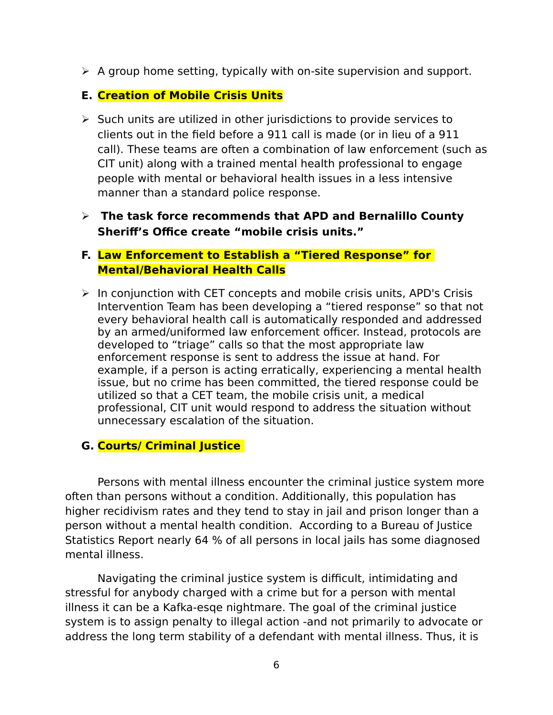$\triangleright$  A group home setting, typically with on-site supervision and support.

## **E. Creation of Mobile Crisis Units**

 $\triangleright$  Such units are utilized in other jurisdictions to provide services to clients out in the field before a 911 call is made (or in lieu of a 911 call). These teams are often a combination of law enforcement (such as CIT unit) along with a trained mental health professional to engage people with mental or behavioral health issues in a less intensive manner than a standard police response.

### **The task force recommends that APD and Bernalillo County Sheriff's Office create "mobile crisis units."**

#### **F. Law Enforcement to Establish a "Tiered Response" for Mental/Behavioral Health Calls**

 $\triangleright$  In conjunction with CET concepts and mobile crisis units, APD's Crisis Intervention Team has been developing a "tiered response" so that not every behavioral health call is automatically responded and addressed by an armed/uniformed law enforcement officer. Instead, protocols are developed to "triage" calls so that the most appropriate law enforcement response is sent to address the issue at hand. For example, if a person is acting erratically, experiencing a mental health issue, but no crime has been committed, the tiered response could be utilized so that a CET team, the mobile crisis unit, a medical professional, CIT unit would respond to address the situation without unnecessary escalation of the situation.

# **G. Courts/ Criminal Justice**

Persons with mental illness encounter the criminal justice system more often than persons without a condition. Additionally, this population has higher recidivism rates and they tend to stay in jail and prison longer than a person without a mental health condition. According to a Bureau of Justice Statistics Report nearly 64 % of all persons in local jails has some diagnosed mental illness.

Navigating the criminal justice system is difficult, intimidating and stressful for anybody charged with a crime but for a person with mental illness it can be a Kafka-esqe nightmare. The goal of the criminal justice system is to assign penalty to illegal action -and not primarily to advocate or address the long term stability of a defendant with mental illness. Thus, it is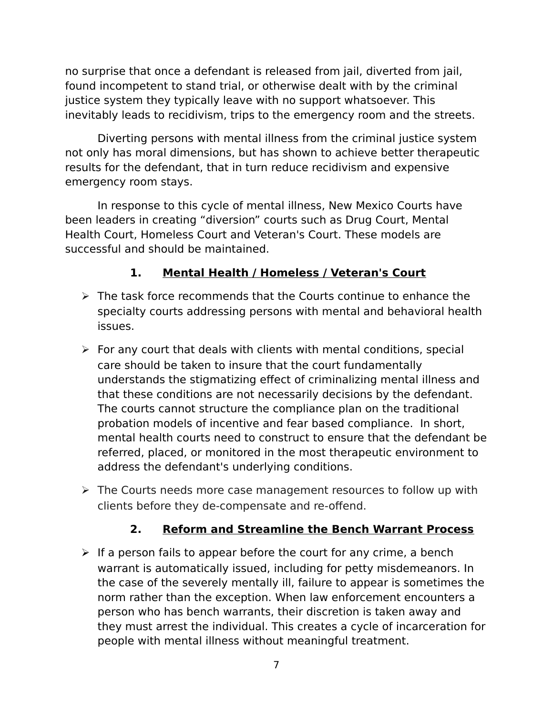no surprise that once a defendant is released from jail, diverted from jail, found incompetent to stand trial, or otherwise dealt with by the criminal justice system they typically leave with no support whatsoever. This inevitably leads to recidivism, trips to the emergency room and the streets.

Diverting persons with mental illness from the criminal justice system not only has moral dimensions, but has shown to achieve better therapeutic results for the defendant, that in turn reduce recidivism and expensive emergency room stays.

In response to this cycle of mental illness, New Mexico Courts have been leaders in creating "diversion" courts such as Drug Court, Mental Health Court, Homeless Court and Veteran's Court. These models are successful and should be maintained.

# **1. Mental Health / Homeless / Veteran's Court**

- $\triangleright$  The task force recommends that the Courts continue to enhance the specialty courts addressing persons with mental and behavioral health issues.
- $\triangleright$  For any court that deals with clients with mental conditions, special care should be taken to insure that the court fundamentally understands the stigmatizing effect of criminalizing mental illness and that these conditions are not necessarily decisions by the defendant. The courts cannot structure the compliance plan on the traditional probation models of incentive and fear based compliance. In short, mental health courts need to construct to ensure that the defendant be referred, placed, or monitored in the most therapeutic environment to address the defendant's underlying conditions.
- $\triangleright$  The Courts needs more case management resources to follow up with clients before they de-compensate and re-offend.

# **2. Reform and Streamline the Bench Warrant Process**

 $\triangleright$  If a person fails to appear before the court for any crime, a bench warrant is automatically issued, including for petty misdemeanors. In the case of the severely mentally ill, failure to appear is sometimes the norm rather than the exception. When law enforcement encounters a person who has bench warrants, their discretion is taken away and they must arrest the individual. This creates a cycle of incarceration for people with mental illness without meaningful treatment.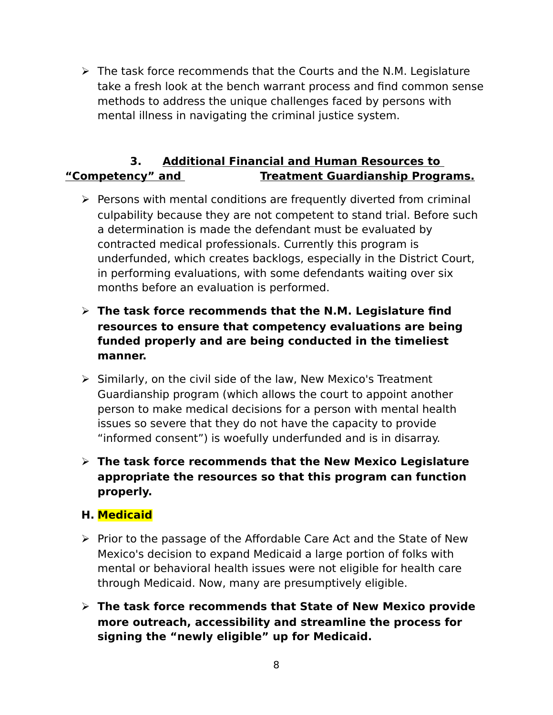$\triangleright$  The task force recommends that the Courts and the N.M. Legislature take a fresh look at the bench warrant process and find common sense methods to address the unique challenges faced by persons with mental illness in navigating the criminal justice system.

# **3. Additional Financial and Human Resources to "Competency" and Treatment Guardianship Programs.**

- $\triangleright$  Persons with mental conditions are frequently diverted from criminal culpability because they are not competent to stand trial. Before such a determination is made the defendant must be evaluated by contracted medical professionals. Currently this program is underfunded, which creates backlogs, especially in the District Court, in performing evaluations, with some defendants waiting over six months before an evaluation is performed.
- **The task force recommends that the N.M. Legislature find resources to ensure that competency evaluations are being funded properly and are being conducted in the timeliest manner.**
- $\triangleright$  Similarly, on the civil side of the law, New Mexico's Treatment Guardianship program (which allows the court to appoint another person to make medical decisions for a person with mental health issues so severe that they do not have the capacity to provide "informed consent") is woefully underfunded and is in disarray.
- **The task force recommends that the New Mexico Legislature appropriate the resources so that this program can function properly.**

# **H. Medicaid**

- $\triangleright$  Prior to the passage of the Affordable Care Act and the State of New Mexico's decision to expand Medicaid a large portion of folks with mental or behavioral health issues were not eligible for health care through Medicaid. Now, many are presumptively eligible.
- **The task force recommends that State of New Mexico provide more outreach, accessibility and streamline the process for signing the "newly eligible" up for Medicaid.**